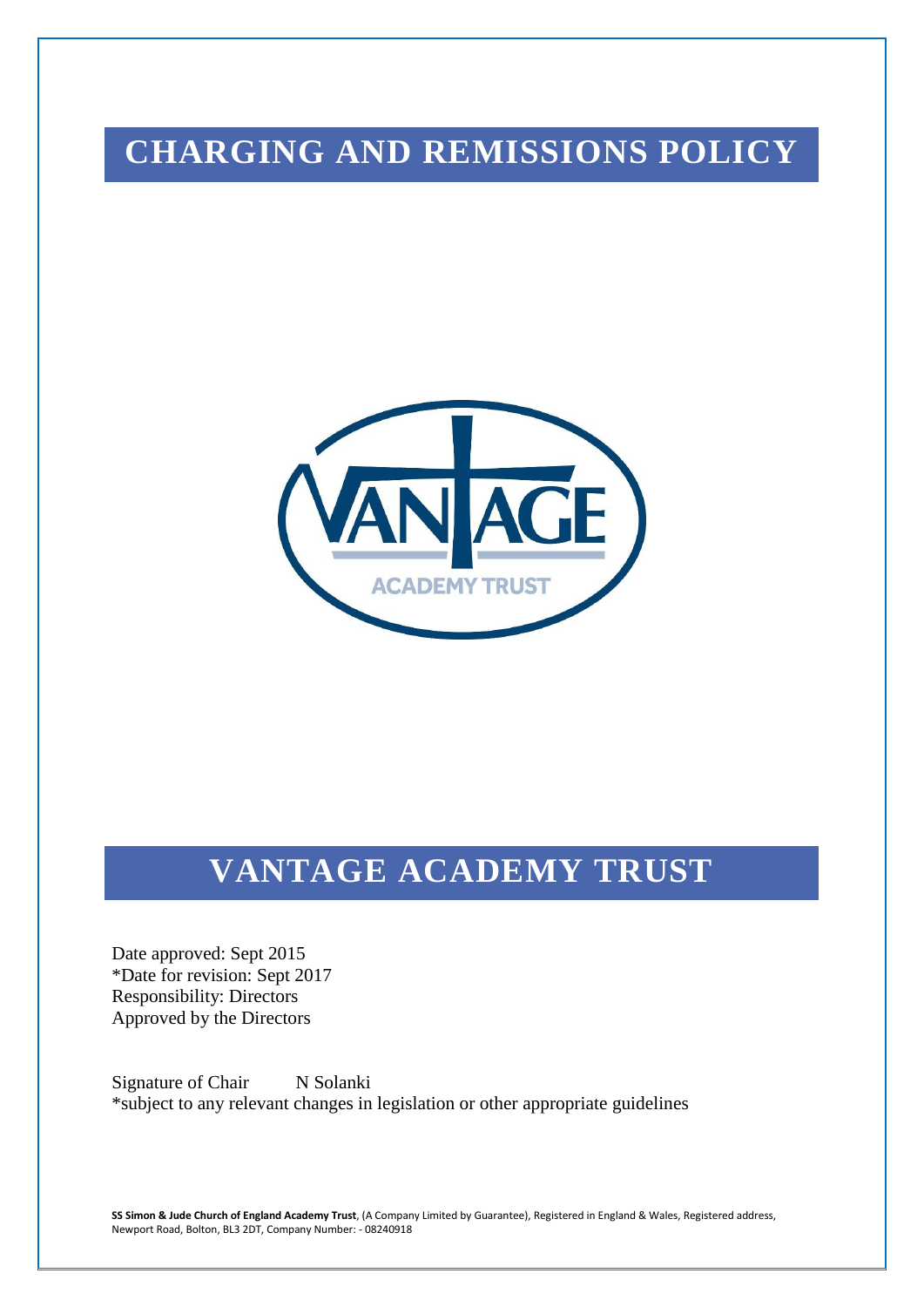# **CHARGING AND REMISSIONS POLICY**



## **VANTAGE ACADEMY TRUST**

Date approved: Sept 2015 \*Date for revision: Sept 2017 Responsibility: Directors Approved by the Directors

Signature of Chair N Solanki \*subject to any relevant changes in legislation or other appropriate guidelines

**SS Simon & Jude Church of England Academy Trust**, (A Company Limited by Guarantee), Registered in England & Wales, Registered address, Newport Road, Bolton, BL3 2DT, Company Number: - 08240918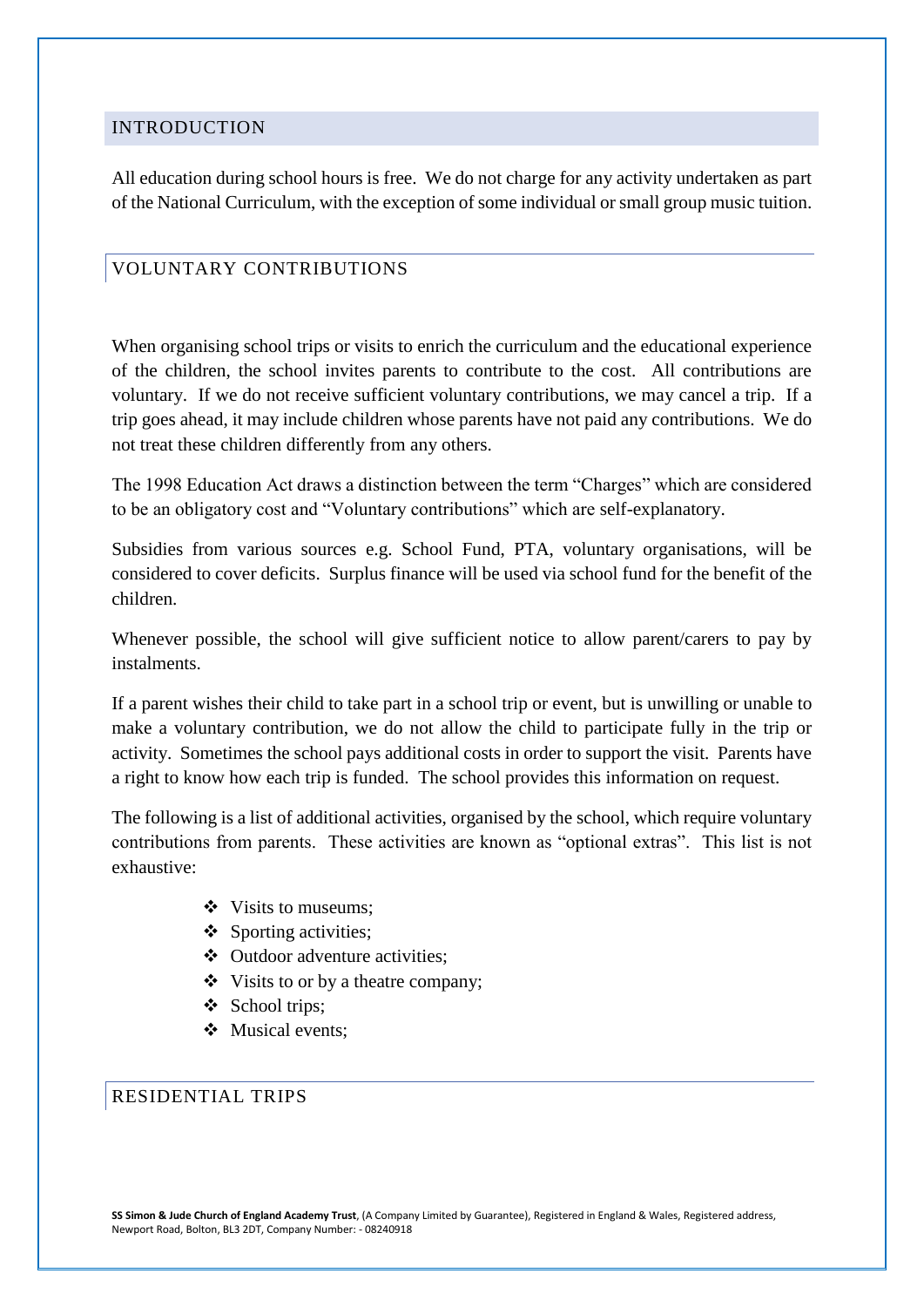#### INTRODUCTION

All education during school hours is free. We do not charge for any activity undertaken as part of the National Curriculum, with the exception of some individual or small group music tuition.

## VOLUNTARY CONTRIBUTIONS

When organising school trips or visits to enrich the curriculum and the educational experience of the children, the school invites parents to contribute to the cost. All contributions are voluntary. If we do not receive sufficient voluntary contributions, we may cancel a trip. If a trip goes ahead, it may include children whose parents have not paid any contributions. We do not treat these children differently from any others.

The 1998 Education Act draws a distinction between the term "Charges" which are considered to be an obligatory cost and "Voluntary contributions" which are self-explanatory.

Subsidies from various sources e.g. School Fund, PTA, voluntary organisations, will be considered to cover deficits. Surplus finance will be used via school fund for the benefit of the children.

Whenever possible, the school will give sufficient notice to allow parent/carers to pay by instalments.

If a parent wishes their child to take part in a school trip or event, but is unwilling or unable to make a voluntary contribution, we do not allow the child to participate fully in the trip or activity. Sometimes the school pays additional costs in order to support the visit. Parents have a right to know how each trip is funded. The school provides this information on request.

The following is a list of additional activities, organised by the school, which require voluntary contributions from parents. These activities are known as "optional extras". This list is not exhaustive:

- Visits to museums:
- $\div$  Sporting activities;
- Outdoor adventure activities;
- Visits to or by a theatre company;
- ❖ School trips;
- Musical events:

## RESIDENTIAL TRIPS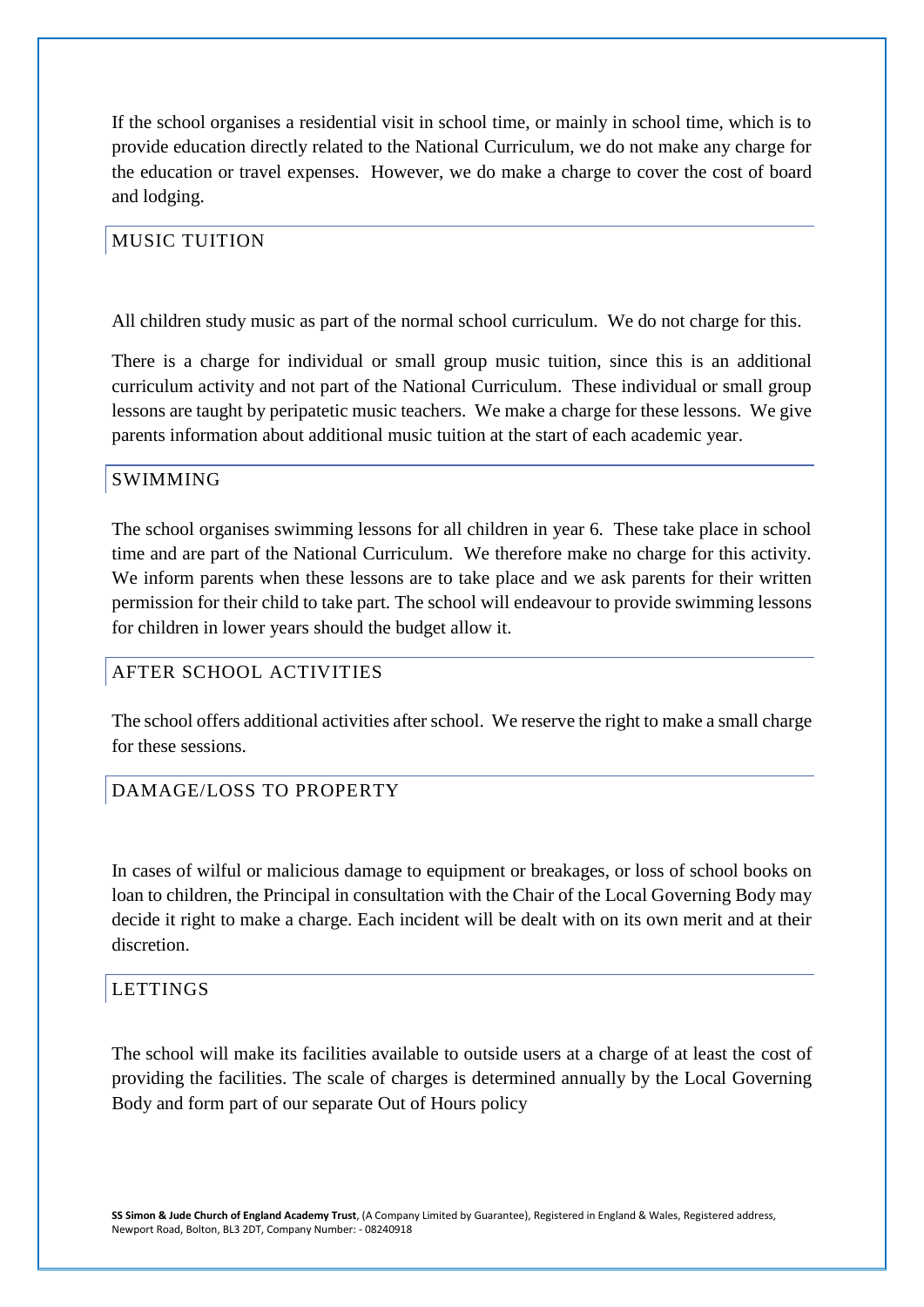If the school organises a residential visit in school time, or mainly in school time, which is to provide education directly related to the National Curriculum, we do not make any charge for the education or travel expenses. However, we do make a charge to cover the cost of board and lodging.

## MUSIC TUITION

All children study music as part of the normal school curriculum. We do not charge for this.

There is a charge for individual or small group music tuition, since this is an additional curriculum activity and not part of the National Curriculum. These individual or small group lessons are taught by peripatetic music teachers. We make a charge for these lessons. We give parents information about additional music tuition at the start of each academic year.

#### SWIMMING

The school organises swimming lessons for all children in year 6. These take place in school time and are part of the National Curriculum. We therefore make no charge for this activity. We inform parents when these lessons are to take place and we ask parents for their written permission for their child to take part. The school will endeavour to provide swimming lessons for children in lower years should the budget allow it.

## AFTER SCHOOL ACTIVITIES

The school offers additional activities after school. We reserve the right to make a small charge for these sessions.

## DAMAGE/LOSS TO PROPERTY

In cases of wilful or malicious damage to equipment or breakages, or loss of school books on loan to children, the Principal in consultation with the Chair of the Local Governing Body may decide it right to make a charge. Each incident will be dealt with on its own merit and at their discretion.

#### LETTINGS

The school will make its facilities available to outside users at a charge of at least the cost of providing the facilities. The scale of charges is determined annually by the Local Governing Body and form part of our separate Out of Hours policy